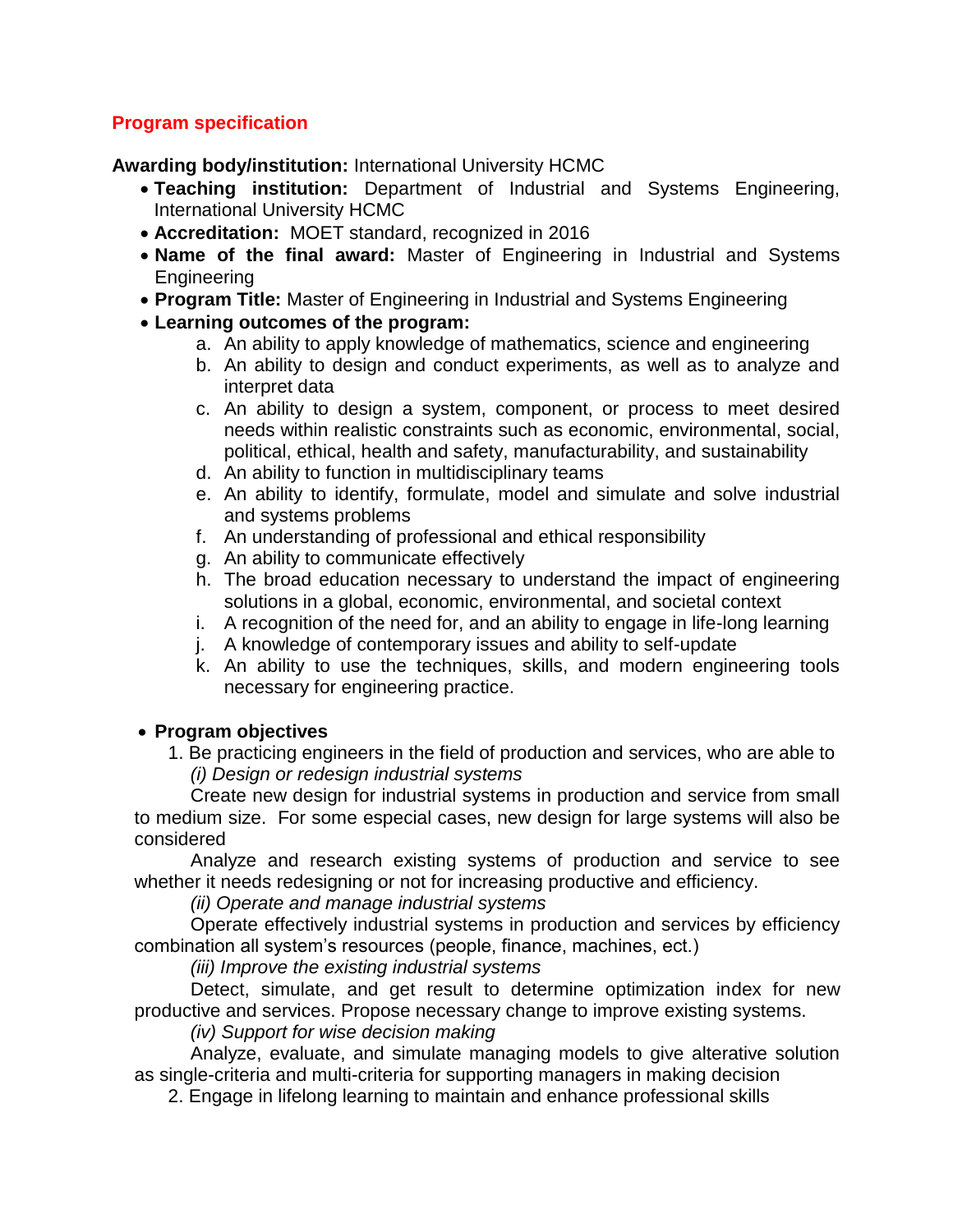## **Program specification**

**Awarding body/institution:** International University HCMC

- **Teaching institution:** Department of Industrial and Systems Engineering, International University HCMC
- **Accreditation:** MOET standard, recognized in 2016
- **Name of the final award:** Master of Engineering in Industrial and Systems Engineering
- **Program Title:** Master of Engineering in Industrial and Systems Engineering
- **Learning outcomes of the program:** 
	- a. An ability to apply knowledge of mathematics, science and engineering
	- b. An ability to design and conduct experiments, as well as to analyze and interpret data
	- c. An ability to design a system, component, or process to meet desired needs within realistic constraints such as economic, environmental, social, political, ethical, health and safety, manufacturability, and sustainability
	- d. An ability to function in multidisciplinary teams
	- e. An ability to identify, formulate, model and simulate and solve industrial and systems problems
	- f. An understanding of professional and ethical responsibility
	- g. An ability to communicate effectively
	- h. The broad education necessary to understand the impact of engineering solutions in a global, economic, environmental, and societal context
	- i. A recognition of the need for, and an ability to engage in life-long learning
	- j. A knowledge of contemporary issues and ability to self-update
	- k. An ability to use the techniques, skills, and modern engineering tools necessary for engineering practice.

### • **Program objectives**

1. Be practicing engineers in the field of production and services, who are able to *(i) Design or redesign industrial systems*

Create new design for industrial systems in production and service from small to medium size. For some especial cases, new design for large systems will also be considered

Analyze and research existing systems of production and service to see whether it needs redesigning or not for increasing productive and efficiency.

*(ii) Operate and manage industrial systems*

Operate effectively industrial systems in production and services by efficiency combination all system's resources (people, finance, machines, ect.)

*(iii) Improve the existing industrial systems*

Detect, simulate, and get result to determine optimization index for new productive and services. Propose necessary change to improve existing systems.

*(iv) Support for wise decision making*

Analyze, evaluate, and simulate managing models to give alterative solution as single-criteria and multi-criteria for supporting managers in making decision

2. Engage in lifelong learning to maintain and enhance professional skills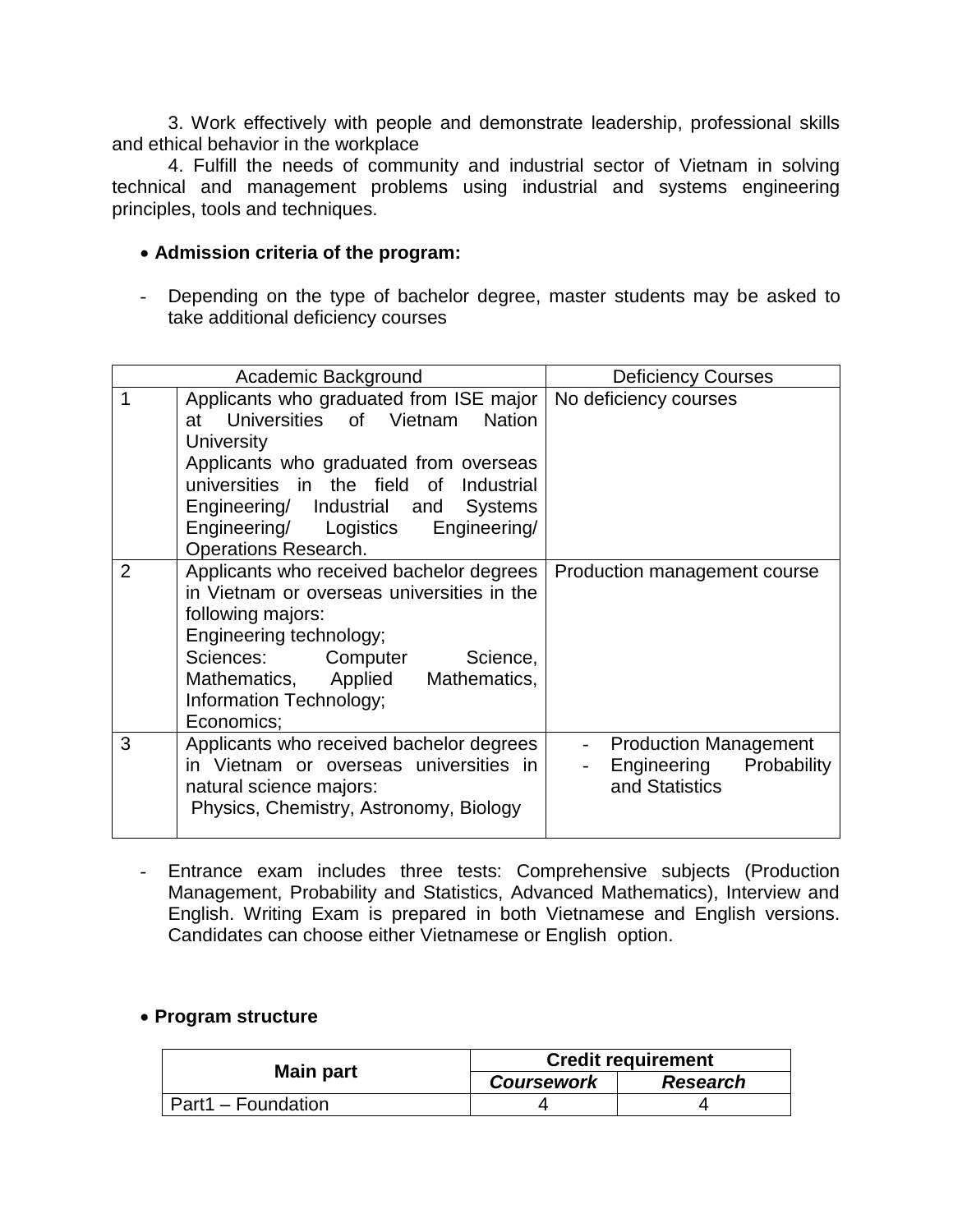3. Work effectively with people and demonstrate leadership, professional skills and ethical behavior in the workplace

4. Fulfill the needs of community and industrial sector of Vietnam in solving technical and management problems using industrial and systems engineering principles, tools and techniques.

#### • **Admission criteria of the program:**

- Depending on the type of bachelor degree, master students may be asked to take additional deficiency courses

|                | Academic Background                                                                                                                                                                                                                                                                                       | <b>Deficiency Courses</b>                                                                                                          |  |
|----------------|-----------------------------------------------------------------------------------------------------------------------------------------------------------------------------------------------------------------------------------------------------------------------------------------------------------|------------------------------------------------------------------------------------------------------------------------------------|--|
|                | Applicants who graduated from ISE major<br>at Universities of Vietnam<br><b>Nation</b><br><b>University</b><br>Applicants who graduated from overseas<br>universities in the field of Industrial<br>Engineering/ Industrial and Systems<br>Engineering/ Logistics<br>Engineering/<br>Operations Research. | No deficiency courses                                                                                                              |  |
| $\overline{2}$ | Applicants who received bachelor degrees<br>in Vietnam or overseas universities in the<br>following majors:<br>Engineering technology;<br>Sciences: Computer<br>Science,<br>Mathematics, Applied Mathematics,<br>Information Technology;<br>Economics;                                                    | Production management course                                                                                                       |  |
| 3              | Applicants who received bachelor degrees<br>in Vietnam or overseas universities in<br>natural science majors:<br>Physics, Chemistry, Astronomy, Biology                                                                                                                                                   | <b>Production Management</b><br>$\frac{1}{2}$ and $\frac{1}{2}$<br>Engineering<br>Probability<br>$\sim 10^{-11}$<br>and Statistics |  |

- Entrance exam includes three tests: Comprehensive subjects (Production Management, Probability and Statistics, Advanced Mathematics), Interview and English. Writing Exam is prepared in both Vietnamese and English versions. Candidates can choose either Vietnamese or English option.

#### • **Program structure**

| Main part                 | <b>Credit requirement</b> |                 |  |
|---------------------------|---------------------------|-----------------|--|
|                           | <b>Coursework</b>         | <b>Research</b> |  |
| <b>Part1</b> – Foundation |                           |                 |  |